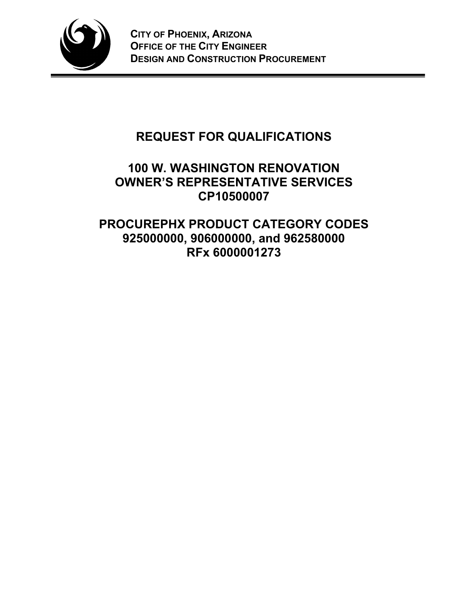

# **REQUEST FOR QUALIFICATIONS**

## **100 W. WASHINGTON RENOVATION OWNER'S REPRESENTATIVE SERVICES CP10500007**

**PROCUREPHX PRODUCT CATEGORY CODES 925000000, 906000000, and 962580000 RFx 6000001273**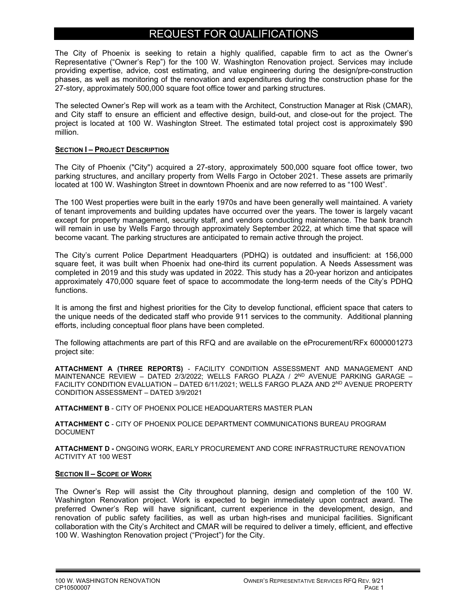## REQUEST FOR QUALIFICATIONS

The City of Phoenix is seeking to retain a highly qualified, capable firm to act as the Owner's Representative ("Owner's Rep") for the 100 W. Washington Renovation project. Services may include providing expertise, advice, cost estimating, and value engineering during the design/pre-construction phases, as well as monitoring of the renovation and expenditures during the construction phase for the 27-story, approximately 500,000 square foot office tower and parking structures.

The selected Owner's Rep will work as a team with the Architect, Construction Manager at Risk (CMAR), and City staff to ensure an efficient and effective design, build-out, and close-out for the project. The project is located at 100 W. Washington Street. The estimated total project cost is approximately \$90 million.

#### **SECTION I – PROJECT DESCRIPTION**

The City of Phoenix ("City") acquired a 27-story, approximately 500,000 square foot office tower, two parking structures, and ancillary property from Wells Fargo in October 2021. These assets are primarily located at 100 W. Washington Street in downtown Phoenix and are now referred to as "100 West".

The 100 West properties were built in the early 1970s and have been generally well maintained. A variety of tenant improvements and building updates have occurred over the years. The tower is largely vacant except for property management, security staff, and vendors conducting maintenance. The bank branch will remain in use by Wells Fargo through approximately September 2022, at which time that space will become vacant. The parking structures are anticipated to remain active through the project.

The City's current Police Department Headquarters (PDHQ) is outdated and insufficient: at 156,000 square feet, it was built when Phoenix had one-third its current population. A Needs Assessment was completed in 2019 and this study was updated in 2022. This study has a 20-year horizon and anticipates approximately 470,000 square feet of space to accommodate the long-term needs of the City's PDHQ functions.

It is among the first and highest priorities for the City to develop functional, efficient space that caters to the unique needs of the dedicated staff who provide 911 services to the community. Additional planning efforts, including conceptual floor plans have been completed.

The following attachments are part of this RFQ and are available on the eProcurement/RFx 6000001273 project site:

**ATTACHMENT A (THREE REPORTS)** - FACILITY CONDITION ASSESSMENT AND MANAGEMENT AND MAINTENANCE REVIEW - DATED 2/3/2022; WELLS FARGO PLAZA / 2<sup>ND</sup> AVENUE PARKING GARAGE -FACILITY CONDITION EVALUATION – DATED 6/11/2021; WELLS FARGO PLAZA AND 2ND AVENUE PROPERTY CONDITION ASSESSMENT – DATED 3/9/2021

**ATTACHMENT B** - CITY OF PHOENIX POLICE HEADQUARTERS MASTER PLAN

**ATTACHMENT C** - CITY OF PHOENIX POLICE DEPARTMENT COMMUNICATIONS BUREAU PROGRAM DOCUMENT

**ATTACHMENT D -** ONGOING WORK, EARLY PROCUREMENT AND CORE INFRASTRUCTURE RENOVATION ACTIVITY AT 100 WEST

#### **SECTION II – SCOPE OF WORK**

The Owner's Rep will assist the City throughout planning, design and completion of the 100 W. Washington Renovation project. Work is expected to begin immediately upon contract award. The preferred Owner's Rep will have significant, current experience in the development, design, and renovation of public safety facilities, as well as urban high-rises and municipal facilities. Significant collaboration with the City's Architect and CMAR will be required to deliver a timely, efficient, and effective 100 W. Washington Renovation project ("Project") for the City.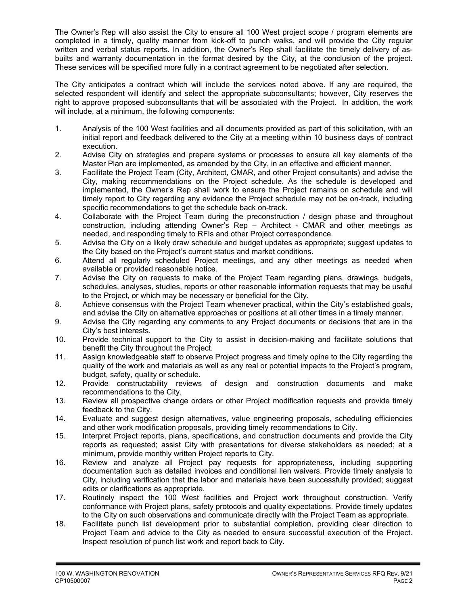The Owner's Rep will also assist the City to ensure all 100 West project scope / program elements are completed in a timely, quality manner from kick-off to punch walks, and will provide the City regular written and verbal status reports. In addition, the Owner's Rep shall facilitate the timely delivery of asbuilts and warranty documentation in the format desired by the City, at the conclusion of the project. These services will be specified more fully in a contract agreement to be negotiated after selection.

The City anticipates a contract which will include the services noted above. If any are required, the selected respondent will identify and select the appropriate subconsultants; however, City reserves the right to approve proposed subconsultants that will be associated with the Project. In addition, the work will include, at a minimum, the following components:

- 1. Analysis of the 100 West facilities and all documents provided as part of this solicitation, with an initial report and feedback delivered to the City at a meeting within 10 business days of contract execution.
- 2. Advise City on strategies and prepare systems or processes to ensure all key elements of the Master Plan are implemented, as amended by the City, in an effective and efficient manner.
- 3. Facilitate the Project Team (City, Architect, CMAR, and other Project consultants) and advise the City, making recommendations on the Project schedule. As the schedule is developed and implemented, the Owner's Rep shall work to ensure the Project remains on schedule and will timely report to City regarding any evidence the Project schedule may not be on-track, including specific recommendations to get the schedule back on-track.
- 4. Collaborate with the Project Team during the preconstruction / design phase and throughout construction, including attending Owner's Rep – Architect - CMAR and other meetings as needed, and responding timely to RFIs and other Project correspondence.
- 5. Advise the City on a likely draw schedule and budget updates as appropriate; suggest updates to the City based on the Project's current status and market conditions.
- 6. Attend all regularly scheduled Project meetings, and any other meetings as needed when available or provided reasonable notice.
- 7. Advise the City on requests to make of the Project Team regarding plans, drawings, budgets, schedules, analyses, studies, reports or other reasonable information requests that may be useful to the Project, or which may be necessary or beneficial for the City.
- 8. Achieve consensus with the Project Team whenever practical, within the City's established goals, and advise the City on alternative approaches or positions at all other times in a timely manner.
- 9. Advise the City regarding any comments to any Project documents or decisions that are in the City's best interests.
- 10. Provide technical support to the City to assist in decision-making and facilitate solutions that benefit the City throughout the Project.
- 11. Assign knowledgeable staff to observe Project progress and timely opine to the City regarding the quality of the work and materials as well as any real or potential impacts to the Project's program, budget, safety, quality or schedule.
- 12. Provide constructability reviews of design and construction documents and make recommendations to the City.
- 13. Review all prospective change orders or other Project modification requests and provide timely feedback to the City.
- 14. Evaluate and suggest design alternatives, value engineering proposals, scheduling efficiencies and other work modification proposals, providing timely recommendations to City.
- 15. Interpret Project reports, plans, specifications, and construction documents and provide the City reports as requested; assist City with presentations for diverse stakeholders as needed; at a minimum, provide monthly written Project reports to City.
- 16. Review and analyze all Project pay requests for appropriateness, including supporting documentation such as detailed invoices and conditional lien waivers. Provide timely analysis to City, including verification that the labor and materials have been successfully provided; suggest edits or clarifications as appropriate.
- 17. Routinely inspect the 100 West facilities and Project work throughout construction. Verify conformance with Project plans, safety protocols and quality expectations. Provide timely updates to the City on such observations and communicate directly with the Project Team as appropriate.
- 18. Facilitate punch list development prior to substantial completion, providing clear direction to Project Team and advice to the City as needed to ensure successful execution of the Project. Inspect resolution of punch list work and report back to City.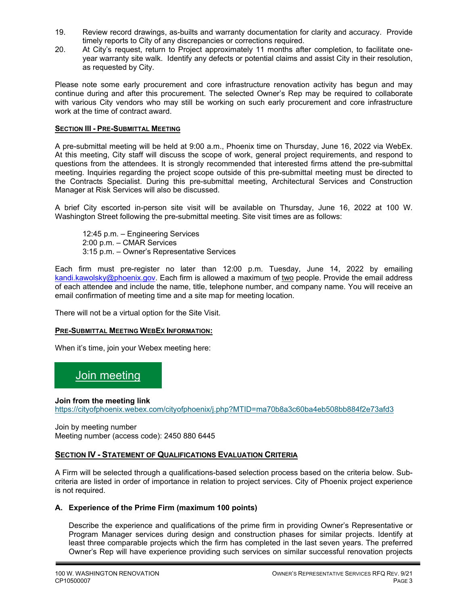- 19. Review record drawings, as-builts and warranty documentation for clarity and accuracy. Provide timely reports to City of any discrepancies or corrections required.
- 20. At City's request, return to Project approximately 11 months after completion, to facilitate oneyear warranty site walk. Identify any defects or potential claims and assist City in their resolution, as requested by City.

Please note some early procurement and core infrastructure renovation activity has begun and may continue during and after this procurement. The selected Owner's Rep may be required to collaborate with various City vendors who may still be working on such early procurement and core infrastructure work at the time of contract award.

#### **SECTION III - PRE-SUBMITTAL MEETING**

A pre-submittal meeting will be held at 9:00 a.m., Phoenix time on Thursday, June 16, 2022 via WebEx. At this meeting, City staff will discuss the scope of work, general project requirements, and respond to questions from the attendees. It is strongly recommended that interested firms attend the pre-submittal meeting. Inquiries regarding the project scope outside of this pre-submittal meeting must be directed to the Contracts Specialist. During this pre-submittal meeting, Architectural Services and Construction Manager at Risk Services will also be discussed.

A brief City escorted in-person site visit will be available on Thursday, June 16, 2022 at 100 W. Washington Street following the pre-submittal meeting. Site visit times are as follows:

12:45 p.m. – Engineering Services 2:00 p.m. – CMAR Services 3:15 p.m. – Owner's Representative Services

Each firm must pre-register no later than 12:00 p.m. Tuesday, June 14, 2022 by emailing kandi.kawolsky@phoenix.gov. Each firm is allowed a maximum of two people. Provide the email address of each attendee and include the name, title, telephone number, and company name. You will receive an email confirmation of meeting time and a site map for meeting location.

There will not be a virtual option for the Site Visit.

#### **PRE-SUBMITTAL MEETING WEBEX INFORMATION:**

When it's time, join your Webex meeting here:

## Join meeting

**Join from the meeting link** 

https://cityofphoenix.webex.com/cityofphoenix/j.php?MTID=ma70b8a3c60ba4eb508bb884f2e73afd3

Join by meeting number Meeting number (access code): 2450 880 6445

#### **SECTION IV - STATEMENT OF QUALIFICATIONS EVALUATION CRITERIA**

A Firm will be selected through a qualifications-based selection process based on the criteria below. Subcriteria are listed in order of importance in relation to project services. City of Phoenix project experience is not required.

#### **A. Experience of the Prime Firm (maximum 100 points)**

Describe the experience and qualifications of the prime firm in providing Owner's Representative or Program Manager services during design and construction phases for similar projects. Identify at least three comparable projects which the firm has completed in the last seven years. The preferred Owner's Rep will have experience providing such services on similar successful renovation projects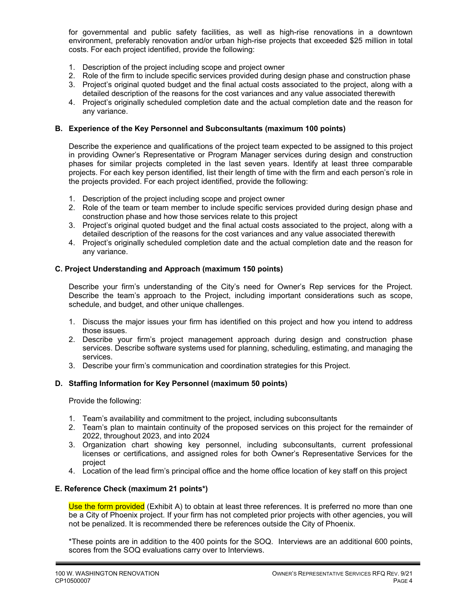for governmental and public safety facilities, as well as high-rise renovations in a downtown environment, preferably renovation and/or urban high-rise projects that exceeded \$25 million in total costs. For each project identified, provide the following:

- 1. Description of the project including scope and project owner
- 2. Role of the firm to include specific services provided during design phase and construction phase
- 3. Project's original quoted budget and the final actual costs associated to the project, along with a detailed description of the reasons for the cost variances and any value associated therewith
- 4. Project's originally scheduled completion date and the actual completion date and the reason for any variance.

#### **B. Experience of the Key Personnel and Subconsultants (maximum 100 points)**

Describe the experience and qualifications of the project team expected to be assigned to this project in providing Owner's Representative or Program Manager services during design and construction phases for similar projects completed in the last seven years. Identify at least three comparable projects. For each key person identified, list their length of time with the firm and each person's role in the projects provided. For each project identified, provide the following:

- 1. Description of the project including scope and project owner
- 2. Role of the team or team member to include specific services provided during design phase and construction phase and how those services relate to this project
- 3. Project's original quoted budget and the final actual costs associated to the project, along with a detailed description of the reasons for the cost variances and any value associated therewith
- 4. Project's originally scheduled completion date and the actual completion date and the reason for any variance.

#### **C. Project Understanding and Approach (maximum 150 points)**

Describe your firm's understanding of the City's need for Owner's Rep services for the Project. Describe the team's approach to the Project, including important considerations such as scope, schedule, and budget, and other unique challenges.

- 1. Discuss the major issues your firm has identified on this project and how you intend to address those issues.
- 2. Describe your firm's project management approach during design and construction phase services. Describe software systems used for planning, scheduling, estimating, and managing the services.
- 3. Describe your firm's communication and coordination strategies for this Project.

#### **D. Staffing Information for Key Personnel (maximum 50 points)**

Provide the following:

- 1. Team's availability and commitment to the project, including subconsultants
- 2. Team's plan to maintain continuity of the proposed services on this project for the remainder of 2022, throughout 2023, and into 2024
- 3. Organization chart showing key personnel, including subconsultants, current professional licenses or certifications, and assigned roles for both Owner's Representative Services for the project
- 4. Location of the lead firm's principal office and the home office location of key staff on this project

#### **E. Reference Check (maximum 21 points\*)**

Use the form provided (Exhibit A) to obtain at least three references. It is preferred no more than one be a City of Phoenix project. If your firm has not completed prior projects with other agencies, you will not be penalized. It is recommended there be references outside the City of Phoenix.

 \*These points are in addition to the 400 points for the SOQ. Interviews are an additional 600 points, scores from the SOQ evaluations carry over to Interviews.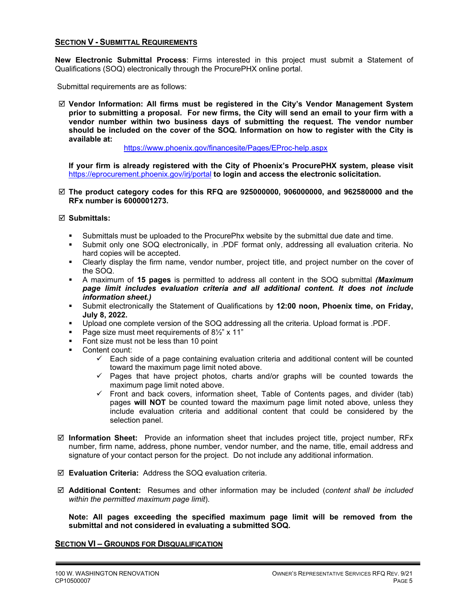#### **SECTION V - SUBMITTAL REQUIREMENTS**

**New Electronic Submittal Process**: Firms interested in this project must submit a Statement of Qualifications (SOQ) electronically through the ProcurePHX online portal.

Submittal requirements are as follows:

 **Vendor Information: All firms must be registered in the City's Vendor Management System prior to submitting a proposal. For new firms, the City will send an email to your firm with a vendor number within two business days of submitting the request. The vendor number should be included on the cover of the SOQ. Information on how to register with the City is available at:** 

https://www.phoenix.gov/financesite/Pages/EProc-help.aspx

**If your firm is already registered with the City of Phoenix's ProcurePHX system, please visit**  https://eprocurement.phoenix.gov/irj/portal **to login and access the electronic solicitation.**

 **The product category codes for this RFQ are 925000000, 906000000, and 962580000 and the RFx number is 6000001273.** 

#### **Submittals:**

- Submittals must be uploaded to the ProcurePhx website by the submittal due date and time.
- Submit only one SOQ electronically, in .PDF format only, addressing all evaluation criteria. No hard copies will be accepted.
- Clearly display the firm name, vendor number, project title, and project number on the cover of the SOQ.
- A maximum of **15 pages** is permitted to address all content in the SOQ submittal *(Maximum page limit includes evaluation criteria and all additional content. It does not include information sheet.)*
- Submit electronically the Statement of Qualifications by **12:00 noon, Phoenix time, on Friday, July 8, 2022.**
- Upload one complete version of the SOQ addressing all the criteria. Upload format is .PDF.
- Page size must meet requirements of  $8\frac{1}{2}$ " x 11"
- Font size must not be less than 10 point
- Content count:
	- $\checkmark$  Each side of a page containing evaluation criteria and additional content will be counted toward the maximum page limit noted above.
	- $\checkmark$  Pages that have project photos, charts and/or graphs will be counted towards the maximum page limit noted above.
	- $\checkmark$  Front and back covers, information sheet, Table of Contents pages, and divider (tab) pages **will NOT** be counted toward the maximum page limit noted above, unless they include evaluation criteria and additional content that could be considered by the selection panel.
- **Information Sheet:** Provide an information sheet that includes project title, project number, RFx number, firm name, address, phone number, vendor number, and the name, title, email address and signature of your contact person for the project. Do not include any additional information.
- **Evaluation Criteria:** Address the SOQ evaluation criteria.
- **Additional Content:** Resumes and other information may be included (*content shall be included within the permitted maximum page limit*).

**Note: All pages exceeding the specified maximum page limit will be removed from the submittal and not considered in evaluating a submitted SOQ.** 

#### **SECTION VI – GROUNDS FOR DISQUALIFICATION**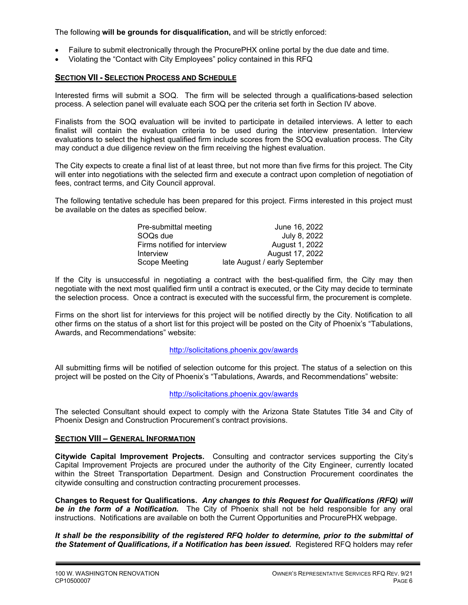The following **will be grounds for disqualification,** and will be strictly enforced:

- Failure to submit electronically through the ProcurePHX online portal by the due date and time.
- Violating the "Contact with City Employees" policy contained in this RFQ

#### **SECTION VII - SELECTION PROCESS AND SCHEDULE**

Interested firms will submit a SOQ. The firm will be selected through a qualifications-based selection process. A selection panel will evaluate each SOQ per the criteria set forth in Section IV above.

Finalists from the SOQ evaluation will be invited to participate in detailed interviews. A letter to each finalist will contain the evaluation criteria to be used during the interview presentation. Interview evaluations to select the highest qualified firm include scores from the SOQ evaluation process. The City may conduct a due diligence review on the firm receiving the highest evaluation.

The City expects to create a final list of at least three, but not more than five firms for this project. The City will enter into negotiations with the selected firm and execute a contract upon completion of negotiation of fees, contract terms, and City Council approval.

The following tentative schedule has been prepared for this project. Firms interested in this project must be available on the dates as specified below.

| Pre-submittal meeting        | June 16, 2022                 |
|------------------------------|-------------------------------|
| SOO <sub>s</sub> due         | July 8, 2022                  |
| Firms notified for interview | August 1, 2022                |
| Interview                    | August 17, 2022               |
| Scope Meeting                | late August / early September |

If the City is unsuccessful in negotiating a contract with the best-qualified firm, the City may then negotiate with the next most qualified firm until a contract is executed, or the City may decide to terminate the selection process. Once a contract is executed with the successful firm, the procurement is complete.

Firms on the short list for interviews for this project will be notified directly by the City. Notification to all other firms on the status of a short list for this project will be posted on the City of Phoenix's "Tabulations, Awards, and Recommendations" website:

#### http://solicitations.phoenix.gov/awards

All submitting firms will be notified of selection outcome for this project. The status of a selection on this project will be posted on the City of Phoenix's "Tabulations, Awards, and Recommendations" website:

http://solicitations.phoenix.gov/awards

The selected Consultant should expect to comply with the Arizona State Statutes Title 34 and City of Phoenix Design and Construction Procurement's contract provisions.

#### **SECTION VIII – GENERAL INFORMATION**

**Citywide Capital Improvement Projects.** Consulting and contractor services supporting the City's Capital Improvement Projects are procured under the authority of the City Engineer, currently located within the Street Transportation Department. Design and Construction Procurement coordinates the citywide consulting and construction contracting procurement processes.

**Changes to Request for Qualifications.** *Any changes to this Request for Qualifications (RFQ) will be in the form of a Notification.* The City of Phoenix shall not be held responsible for any oral instructions. Notifications are available on both the Current Opportunities and ProcurePHX webpage.

*It shall be the responsibility of the registered RFQ holder to determine, prior to the submittal of the Statement of Qualifications, if a Notification has been issued***.** Registered RFQ holders may refer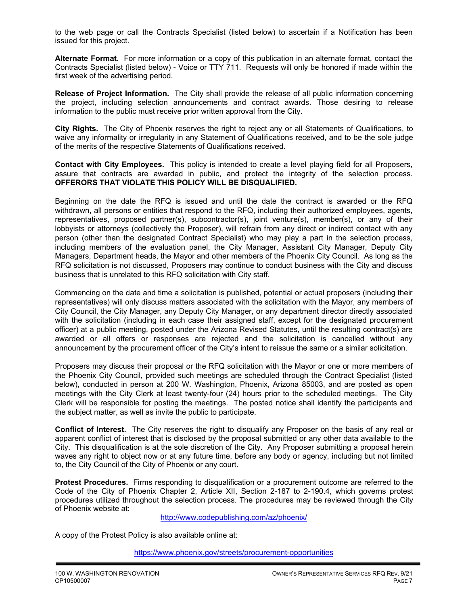to the web page or call the Contracts Specialist (listed below) to ascertain if a Notification has been issued for this project.

**Alternate Format.** For more information or a copy of this publication in an alternate format, contact the Contracts Specialist (listed below) - Voice or TTY 711. Requests will only be honored if made within the first week of the advertising period.

**Release of Project Information.** The City shall provide the release of all public information concerning the project, including selection announcements and contract awards. Those desiring to release information to the public must receive prior written approval from the City.

**City Rights.** The City of Phoenix reserves the right to reject any or all Statements of Qualifications, to waive any informality or irregularity in any Statement of Qualifications received, and to be the sole judge of the merits of the respective Statements of Qualifications received.

**Contact with City Employees.** This policy is intended to create a level playing field for all Proposers, assure that contracts are awarded in public, and protect the integrity of the selection process. **OFFERORS THAT VIOLATE THIS POLICY WILL BE DISQUALIFIED.**

Beginning on the date the RFQ is issued and until the date the contract is awarded or the RFQ withdrawn, all persons or entities that respond to the RFQ, including their authorized employees, agents, representatives, proposed partner(s), subcontractor(s), joint venture(s), member(s), or any of their lobbyists or attorneys (collectively the Proposer), will refrain from any direct or indirect contact with any person (other than the designated Contract Specialist) who may play a part in the selection process, including members of the evaluation panel, the City Manager, Assistant City Manager, Deputy City Managers, Department heads, the Mayor and other members of the Phoenix City Council. As long as the RFQ solicitation is not discussed, Proposers may continue to conduct business with the City and discuss business that is unrelated to this RFQ solicitation with City staff.

Commencing on the date and time a solicitation is published, potential or actual proposers (including their representatives) will only discuss matters associated with the solicitation with the Mayor, any members of City Council, the City Manager, any Deputy City Manager, or any department director directly associated with the solicitation (including in each case their assigned staff, except for the designated procurement officer) at a public meeting, posted under the Arizona Revised Statutes, until the resulting contract(s) are awarded or all offers or responses are rejected and the solicitation is cancelled without any announcement by the procurement officer of the City's intent to reissue the same or a similar solicitation.

Proposers may discuss their proposal or the RFQ solicitation with the Mayor or one or more members of the Phoenix City Council, provided such meetings are scheduled through the Contract Specialist (listed below), conducted in person at 200 W. Washington, Phoenix, Arizona 85003, and are posted as open meetings with the City Clerk at least twenty-four (24) hours prior to the scheduled meetings. The City Clerk will be responsible for posting the meetings. The posted notice shall identify the participants and the subject matter, as well as invite the public to participate.

**Conflict of Interest.** The City reserves the right to disqualify any Proposer on the basis of any real or apparent conflict of interest that is disclosed by the proposal submitted or any other data available to the City. This disqualification is at the sole discretion of the City. Any Proposer submitting a proposal herein waves any right to object now or at any future time, before any body or agency, including but not limited to, the City Council of the City of Phoenix or any court.

**Protest Procedures.** Firms responding to disqualification or a procurement outcome are referred to the Code of the City of Phoenix Chapter 2, Article XII, Section 2-187 to 2-190.4, which governs protest procedures utilized throughout the selection process. The procedures may be reviewed through the City of Phoenix website at:

http://www.codepublishing.com/az/phoenix/

A copy of the Protest Policy is also available online at:

https://www.phoenix.gov/streets/procurement-opportunities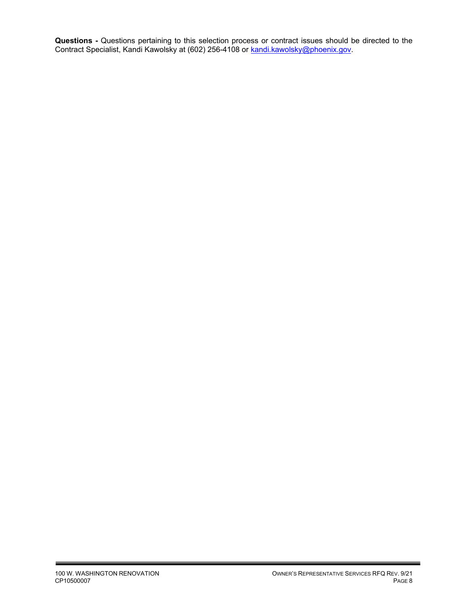**Questions -** Questions pertaining to this selection process or contract issues should be directed to the Contract Specialist, Kandi Kawolsky at (602) 256-4108 or <u>kandi.kawolsky@phoenix.gov</u>.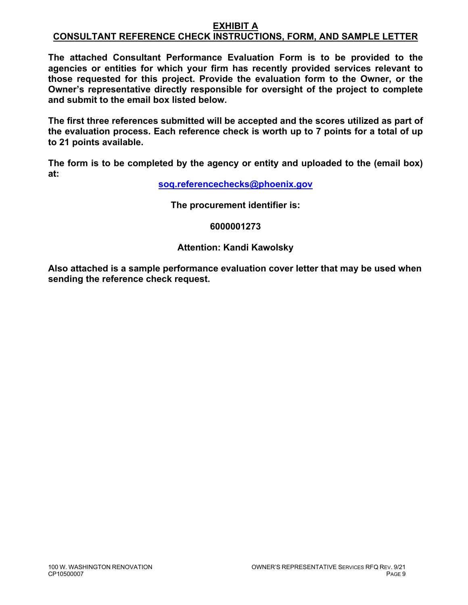#### **EXHIBIT A CONSULTANT REFERENCE CHECK INSTRUCTIONS, FORM, AND SAMPLE LETTER**

**The attached Consultant Performance Evaluation Form is to be provided to the agencies or entities for which your firm has recently provided services relevant to those requested for this project. Provide the evaluation form to the Owner, or the Owner's representative directly responsible for oversight of the project to complete and submit to the email box listed below.** 

**The first three references submitted will be accepted and the scores utilized as part of the evaluation process. Each reference check is worth up to 7 points for a total of up to 21 points available.** 

**The form is to be completed by the agency or entity and uploaded to the (email box) at:** 

**soq.referencechecks@phoenix.gov**

**The procurement identifier is:** 

**6000001273** 

### **Attention: Kandi Kawolsky**

**Also attached is a sample performance evaluation cover letter that may be used when sending the reference check request.**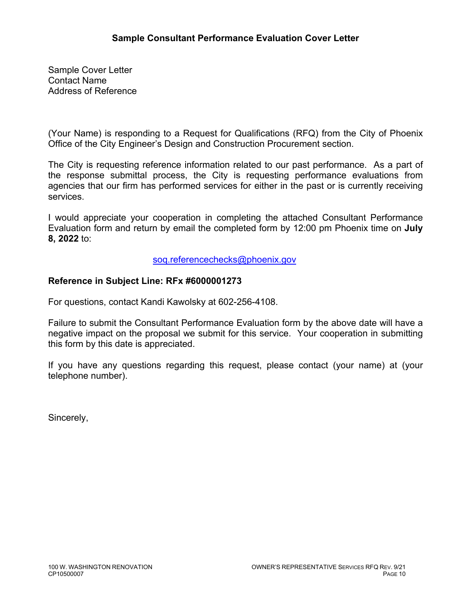Sample Cover Letter Contact Name Address of Reference

(Your Name) is responding to a Request for Qualifications (RFQ) from the City of Phoenix Office of the City Engineer's Design and Construction Procurement section.

The City is requesting reference information related to our past performance. As a part of the response submittal process, the City is requesting performance evaluations from agencies that our firm has performed services for either in the past or is currently receiving services.

I would appreciate your cooperation in completing the attached Consultant Performance Evaluation form and return by email the completed form by 12:00 pm Phoenix time on **July 8, 2022** to:

soq.referencechecks@phoenix.gov

### **Reference in Subject Line: RFx #6000001273**

For questions, contact Kandi Kawolsky at 602-256-4108.

Failure to submit the Consultant Performance Evaluation form by the above date will have a negative impact on the proposal we submit for this service. Your cooperation in submitting this form by this date is appreciated.

If you have any questions regarding this request, please contact (your name) at (your telephone number).

Sincerely,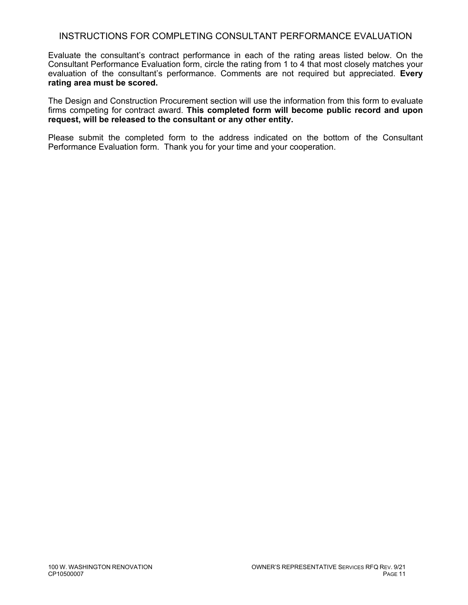### INSTRUCTIONS FOR COMPLETING CONSULTANT PERFORMANCE EVALUATION

Evaluate the consultant's contract performance in each of the rating areas listed below. On the Consultant Performance Evaluation form, circle the rating from 1 to 4 that most closely matches your evaluation of the consultant's performance. Comments are not required but appreciated. **Every rating area must be scored.** 

The Design and Construction Procurement section will use the information from this form to evaluate firms competing for contract award. **This completed form will become public record and upon request, will be released to the consultant or any other entity.**

Please submit the completed form to the address indicated on the bottom of the Consultant Performance Evaluation form. Thank you for your time and your cooperation.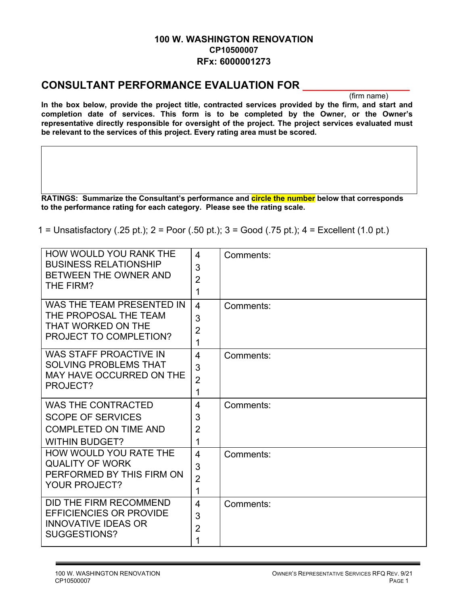### **100 W. WASHINGTON RENOVATION CP10500007 RFx: 6000001273**

## **CONSULTANT PERFORMANCE EVALUATION FOR**

(firm name)

**In the box below, provide the project title, contracted services provided by the firm, and start and completion date of services. This form is to be completed by the Owner, or the Owner's representative directly responsible for oversight of the project. The project services evaluated must be relevant to the services of this project. Every rating area must be scored.** 

**RATINGS: Summarize the Consultant's performance and circle the number below that corresponds to the performance rating for each category. Please see the rating scale.** 

1 = Unsatisfactory (.25 pt.); 2 = Poor (.50 pt.); 3 = Good (.75 pt.); 4 = Excellent (1.0 pt.)

| <b>HOW WOULD YOU RANK THE</b><br><b>BUSINESS RELATIONSHIP</b><br>BETWEEN THE OWNER AND<br>THE FIRM?            | 4<br>3<br>$\overline{2}$<br>1              | Comments: |
|----------------------------------------------------------------------------------------------------------------|--------------------------------------------|-----------|
| WAS THE TEAM PRESENTED IN<br>THE PROPOSAL THE TEAM<br>THAT WORKED ON THE<br>PROJECT TO COMPLETION?             | $\overline{4}$<br>3<br>$\overline{2}$<br>1 | Comments: |
| <b>WAS STAFF PROACTIVE IN</b><br><b>SOLVING PROBLEMS THAT</b><br><b>MAY HAVE OCCURRED ON THE</b><br>PROJECT?   | 4<br>3<br>$\overline{2}$<br>1              | Comments: |
| <b>WAS THE CONTRACTED</b><br><b>SCOPE OF SERVICES</b><br><b>COMPLETED ON TIME AND</b><br><b>WITHIN BUDGET?</b> | 4<br>3<br>$\overline{2}$<br>1              | Comments: |
| HOW WOULD YOU RATE THE<br><b>QUALITY OF WORK</b><br>PERFORMED BY THIS FIRM ON<br><b>YOUR PROJECT?</b>          | 4<br>3<br>$\overline{2}$<br>1              | Comments: |
| DID THE FIRM RECOMMEND<br><b>EFFICIENCIES OR PROVIDE</b><br><b>INNOVATIVE IDEAS OR</b><br>SUGGESTIONS?         | 4<br>3<br>$\overline{2}$<br>1              | Comments: |